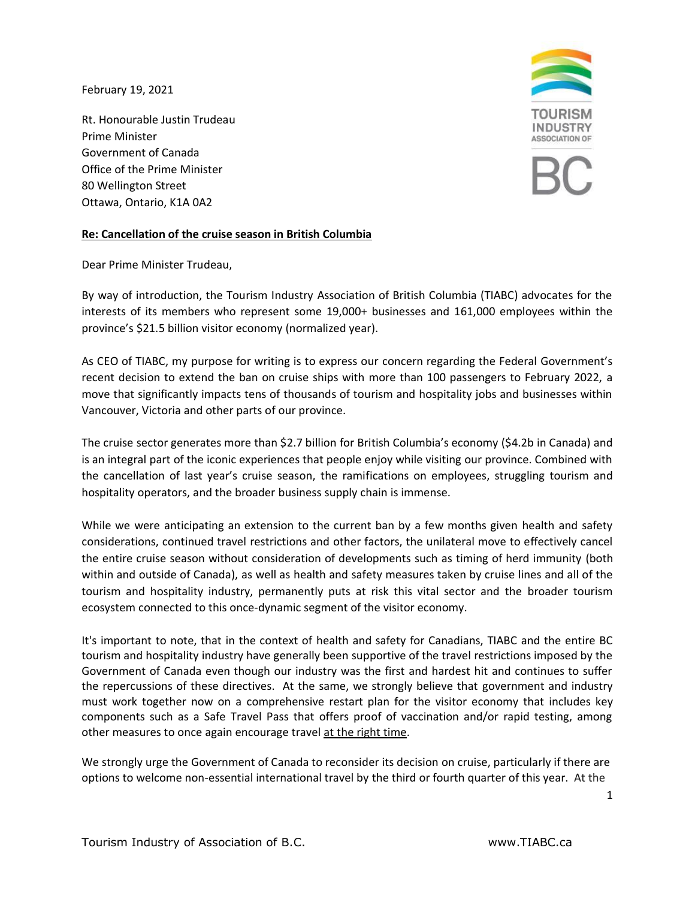February 19, 2021

Rt. Honourable Justin Trudeau Prime Minister Government of Canada Office of the Prime Minister 80 Wellington Street Ottawa, Ontario, K1A 0A2



## **Re: Cancellation of the cruise season in British Columbia**

Dear Prime Minister Trudeau,

By way of introduction, the Tourism Industry Association of British Columbia (TIABC) advocates for the interests of its members who represent some 19,000+ businesses and 161,000 employees within the province's \$21.5 billion visitor economy (normalized year).

As CEO of TIABC, my purpose for writing is to express our concern regarding the Federal Government's recent decision to extend the ban on cruise ships with more than 100 passengers to February 2022, a move that significantly impacts tens of thousands of tourism and hospitality jobs and businesses within Vancouver, Victoria and other parts of our province.

The cruise sector generates more than \$2.7 billion for British Columbia's economy (\$4.2b in Canada) and is an integral part of the iconic experiences that people enjoy while visiting our province. Combined with the cancellation of last year's cruise season, the ramifications on employees, struggling tourism and hospitality operators, and the broader business supply chain is immense.

While we were anticipating an extension to the current ban by a few months given health and safety considerations, continued travel restrictions and other factors, the unilateral move to effectively cancel the entire cruise season without consideration of developments such as timing of herd immunity (both within and outside of Canada), as well as health and safety measures taken by cruise lines and all of the tourism and hospitality industry, permanently puts at risk this vital sector and the broader tourism ecosystem connected to this once-dynamic segment of the visitor economy.

It's important to note, that in the context of health and safety for Canadians, TIABC and the entire BC tourism and hospitality industry have generally been supportive of the travel restrictions imposed by the Government of Canada even though our industry was the first and hardest hit and continues to suffer the repercussions of these directives. At the same, we strongly believe that government and industry must work together now on a comprehensive restart plan for the visitor economy that includes key components such as a Safe Travel Pass that offers proof of vaccination and/or rapid testing, among other measures to once again encourage travel at the right time.

We strongly urge the Government of Canada to reconsider its decision on cruise, particularly if there are options to welcome non-essential international travel by the third or fourth quarter of this year. At the